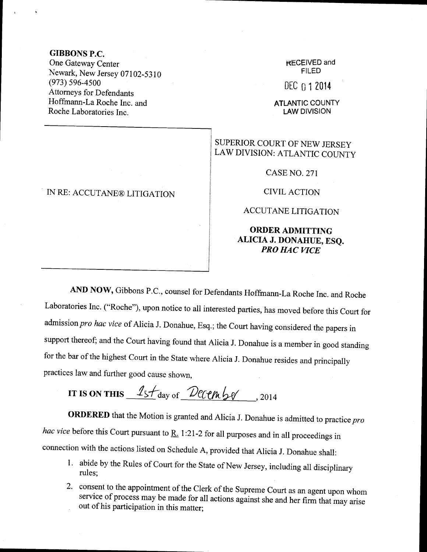### GIBBONS P.C.

One Gateway Center Newark, New Jersey 07102-5310 (973) 596-4500 Attomeys for Defendants Hoffmann-La Roche Inc. and Roche Laboratories Inc.

# IN RE: ACCUTANE@ LITIGATION

#### KECEIVED and FILED

### $DEC<sub>0</sub>12014$

**ATLANTIC COUNTY** LAW DIVISION

# SUPERIOR COURT OF NEW JERSEY LAW DIVISION: ATLANTIC COUNTY

CASE NO. 271

CIVIL ACTION

## ACCUTANE LITIGATION

#### ORDER ADMITTING ALICIA J. DONAHUE, ESQ. PRO HAC VICE

AND NOw, Gibbons P.C., counsel for Defendants Hoffrnann-La Roche Inc. and Roche Laboratories Inc. ("Roche"), upon notice to all interested parties, has moved before this Court for admission pro hac vice of Alicia J. Donahue, Esq.; the Court having considered the papers in support thereof; and the court having found that Alicia J. Donahue is a member in good standing for the bar of the highest Court in the State where Alicia J. Donahue resides and principally practices law and further good cause shown,

IT IS ON THIS  $1s$   $\frac{1}{s}$   $\frac{1}{s}$   $\frac{1}{s}$   $\frac{1}{s}$   $\frac{1}{s}$   $\frac{1}{s}$   $\frac{1}{s}$   $\frac{1}{s}$   $\frac{1}{s}$   $\frac{1}{s}$   $\frac{1}{s}$   $\frac{1}{s}$   $\frac{1}{s}$   $\frac{1}{s}$   $\frac{1}{s}$   $\frac{1}{s}$   $\frac{1}{s}$   $\frac{1}{s}$   $\frac{1}{s}$   $\frac{1}{s}$   $\$ 

**ORDERED** that the Motion is granted and Alicia J. Donahue is admitted to practice pro hac vice before this Court pursuant to  $\underline{R}$ . 1:21-2 for all purposes and in all proceedings in connection with the actions listed on Schedule A, provided that Alicia J. Donahue shall:

- 1. abide by the Rules of Court for the State of New Jersey, including all disciplinary rules;
- 2' consent to the appointment of the Clerk of the Supreme Court as an agent upon whom service of process may be made for all actions against she and her firm that may arise out of his participation in this matter;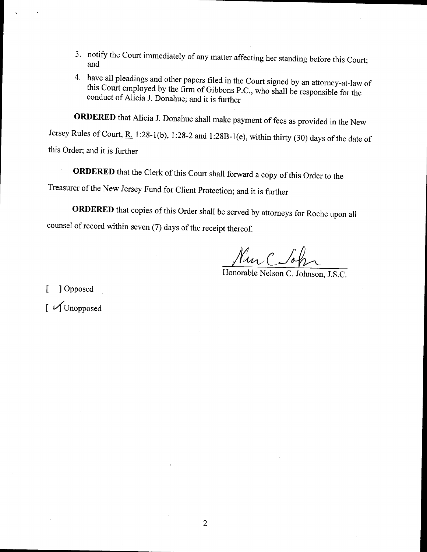- 3' notify the Court immediately of any matter affecting her standing before this court; and
- 4. have all pleadings and other papers filed in the Court signed by an attorney-at-law of this Court employed by the firm of Gibbons P.C., who shall be responsible for the conduct of Alicia J. Donahue; and it is further

ORDERED that Alicia J. Donahue shall make payment of fees as provided in the New

Jersey Rules of Court,  $R_1$  1:28-1(b), 1:28-2 and 1:28B-1(e), within thirty (30) days of the date of this Order; and it is further

ORDERED that the Clerk of this Court shall forward a copy of this Order to the Treasurer of the New Jersey Fund for client protection; and it is further

ORDERED that copies of this Order shall be served by attorneys for Roche upon all counsel of record within seven (7) days of the receipt thereof.

Mur Coh

[ ] Opposed

 $\int$  VI Unopposed